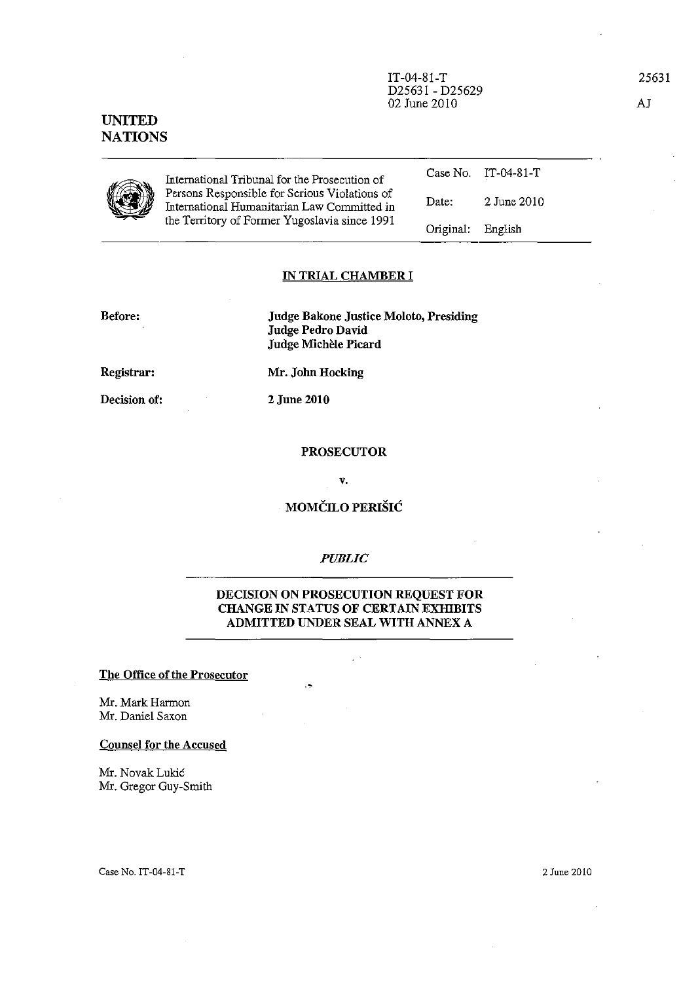IT-04-81-T D25631 - D25629 02 June 2010

# UNITED **NATIONS**



International Tribunal for the Prosecution of Persons Responsible for Serious Violations of International Humanitarian Law Committed in the Territory of Former Yugoslavia since 1991

#### Date: Original: 2 June 2010 English

Case No. IT-04-81-T

## IN TRIAL CHAMBER I

Before:

Judge Bakone Justice Moloto, Presiding Judge Pedro David Judge Michèle Picard

Registrar:

Decision of:

Mr. John Hocking

2 June 2010

### PROSECUTOR

v.

# MOMČILO PERIŠIĆ

#### *PUBLIC*

### DECISION ON PROSECUTION REQUEST FOR CHANGE IN STATUS OF CERTAIN EXHIBITS ADMITTED UNDER SEAL WITH ANNEX A

..

### The Office of the Prosecutor

Mr. Mark Harmon Mr. Daniel Saxon

### Counsel for the Accused

Mr. Novak Lukic Mr. Gregor Guy-Smith

Case No. IT-04-S1-T

2 June 2010

25631

AJ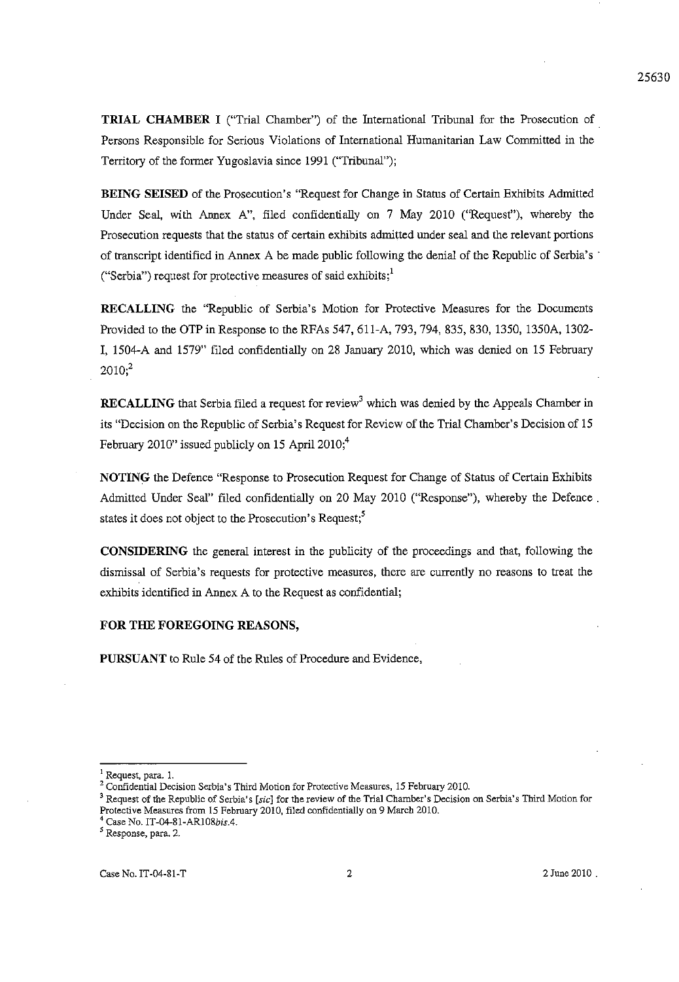**TRIAL CHAMBER I** ("Trial Chamber") of the International Tribunal for the Prosecution of. Persons Responsible for Serious Violations of International Humanitarian Law Committed in the Territory of the former Yugoslavia since 1991 ("Tribunal");

**BEING SEISED** of the Prosecution's "Request for Change in Status of Certain Exhibits Admitted Under Seal, with Annex A", filed confidentially on 7 May 2010 ("Request"), whereby the Prosecution requests that the status of certain exhibits admitted under seal and the relevant portions of transcript identified in Annex A be made public following the denial of the Republic of Serbia's' ("Serbia") request for protective measures of said exhibits; $<sup>1</sup>$ </sup>

**RECALLING** the "Republic of Serbia's Motion for Protective Measures for the Documents Provided to the **OTP** in Response to the RFAs 547, 611-A, 793, 794, 835,830, 1350, 1350A, 1302- **I,** 1504-A and 1579" filed confidentially on 28 January 2010, which was denied on 15 February  $2010<sup>2</sup>$ 

**RECALLING** that Serbia filed a request for review<sup>3</sup> which was denied by the Appeals Chamber in its "Decision on the Republic of Serbia's Request for Review of the Trial Chamber's Decision of 15 February 2010" issued publicly on 15 April 2010;<sup>4</sup>

**NOTING** the Defence "Response to Prosecution Request for Change of Status of Certain Exhibits Admitted Under Seal" filed confidentially on 20 May 2010 ("Response"), whereby the Defence. states it does not object to the Prosecution's Request; $<sup>5</sup>$ </sup>

**CONSIDERING** the general interest in the publicity of the proceedings and that, following the dismissal of Serbia's requests for protective measures, there are currently no reasons to treat the exhibits identified in Annex A to the Request as confidential;

#### **FOR THE FOREGOING REASONS,**

**PURSUANT** to Rule 54 of the Rules of Procedure and Evidence,

**<sup>I</sup>Request, para. 1.** 

**<sup>2</sup> Confidential Decision Serbia's Third Motion for Protective Measures, 15 February 2010.** 

**<sup>3</sup> Request of the Republic of Serbia's [sic] for the review of the Trial Chamber's Decision on Serbia's Third Motion for Protective Measures from 15 February 2010, filed confidentially on 9 March 2010.** 

<sup>&</sup>lt;sup>4</sup> Case No. IT-04-81-AR108bis.4.

*<sup>5</sup>* **Response, para. 2.**